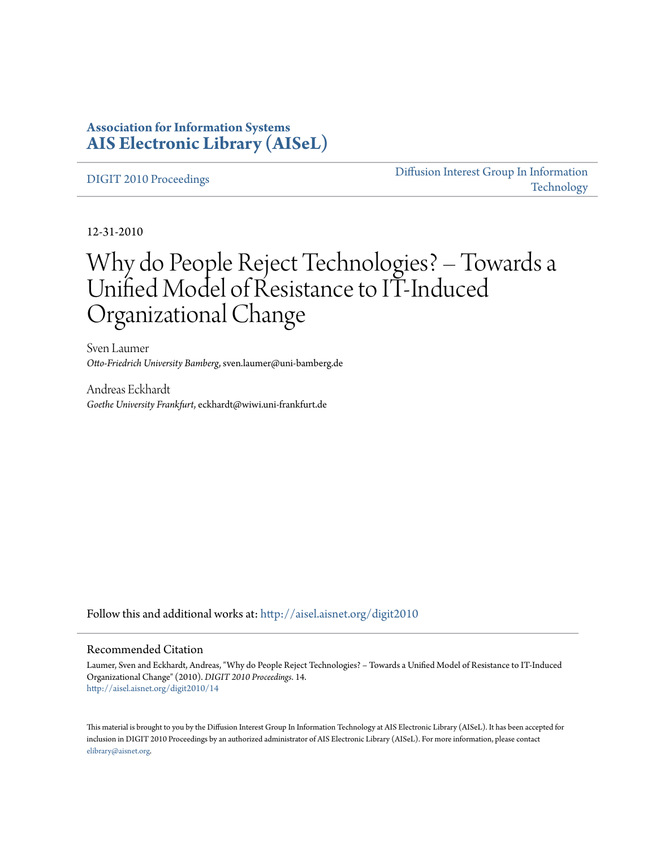## **Association for Information Systems [AIS Electronic Library \(AISeL\)](http://aisel.aisnet.org?utm_source=aisel.aisnet.org%2Fdigit2010%2F14&utm_medium=PDF&utm_campaign=PDFCoverPages)**

[DIGIT 2010 Proceedings](http://aisel.aisnet.org/digit2010?utm_source=aisel.aisnet.org%2Fdigit2010%2F14&utm_medium=PDF&utm_campaign=PDFCoverPages)

[Diffusion Interest Group In Information](http://aisel.aisnet.org/digit?utm_source=aisel.aisnet.org%2Fdigit2010%2F14&utm_medium=PDF&utm_campaign=PDFCoverPages) [Technology](http://aisel.aisnet.org/digit?utm_source=aisel.aisnet.org%2Fdigit2010%2F14&utm_medium=PDF&utm_campaign=PDFCoverPages)

12-31-2010

# Why do People Reject Technologies? – Towards a Unified Model of Resistance to IT-Induced Organizational Change

Sven Laumer *Otto-Friedrich University Bamberg*, sven.laumer@uni-bamberg.de

Andreas Eckhardt *Goethe University Frankfurt*, eckhardt@wiwi.uni-frankfurt.de

Follow this and additional works at: [http://aisel.aisnet.org/digit2010](http://aisel.aisnet.org/digit2010?utm_source=aisel.aisnet.org%2Fdigit2010%2F14&utm_medium=PDF&utm_campaign=PDFCoverPages)

## Recommended Citation

Laumer, Sven and Eckhardt, Andreas, "Why do People Reject Technologies? – Towards a Unified Model of Resistance to IT-Induced Organizational Change" (2010). *DIGIT 2010 Proceedings*. 14. [http://aisel.aisnet.org/digit2010/14](http://aisel.aisnet.org/digit2010/14?utm_source=aisel.aisnet.org%2Fdigit2010%2F14&utm_medium=PDF&utm_campaign=PDFCoverPages)

This material is brought to you by the Diffusion Interest Group In Information Technology at AIS Electronic Library (AISeL). It has been accepted for inclusion in DIGIT 2010 Proceedings by an authorized administrator of AIS Electronic Library (AISeL). For more information, please contact [elibrary@aisnet.org.](mailto:elibrary@aisnet.org%3E)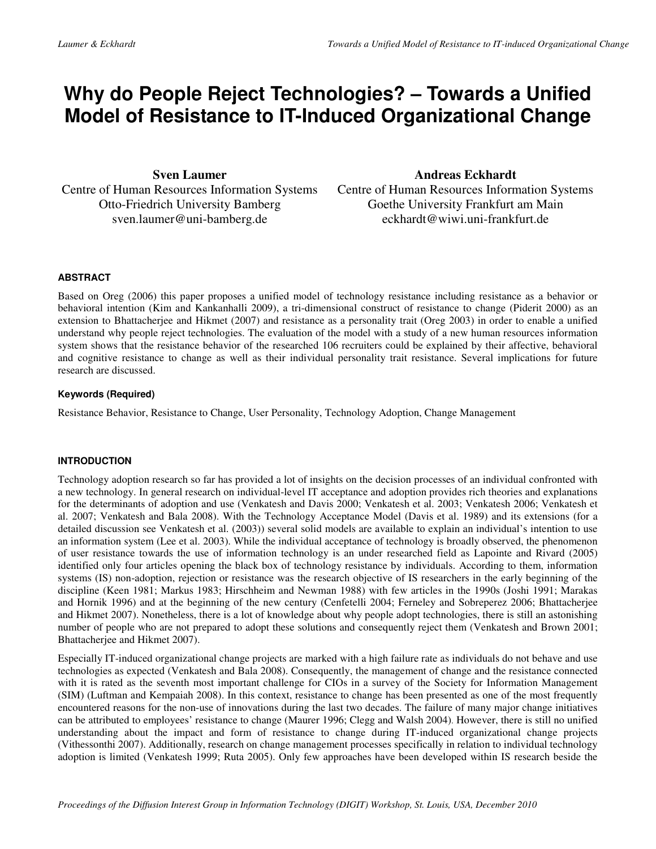## **Why do People Reject Technologies? – Towards a Unified Model of Resistance to IT-Induced Organizational Change**

**Sven Laumer**  Centre of Human Resources Information Systems Otto-Friedrich University Bamberg sven.laumer@uni-bamberg.de

## **Andreas Eckhardt**

Centre of Human Resources Information Systems Goethe University Frankfurt am Main eckhardt@wiwi.uni-frankfurt.de

## **ABSTRACT**

Based on Oreg (2006) this paper proposes a unified model of technology resistance including resistance as a behavior or behavioral intention (Kim and Kankanhalli 2009), a tri-dimensional construct of resistance to change (Piderit 2000) as an extension to Bhattacherjee and Hikmet (2007) and resistance as a personality trait (Oreg 2003) in order to enable a unified understand why people reject technologies. The evaluation of the model with a study of a new human resources information system shows that the resistance behavior of the researched 106 recruiters could be explained by their affective, behavioral and cognitive resistance to change as well as their individual personality trait resistance. Several implications for future research are discussed.

## **Keywords (Required)**

Resistance Behavior, Resistance to Change, User Personality, Technology Adoption, Change Management

## **INTRODUCTION**

Technology adoption research so far has provided a lot of insights on the decision processes of an individual confronted with a new technology. In general research on individual-level IT acceptance and adoption provides rich theories and explanations for the determinants of adoption and use (Venkatesh and Davis 2000; Venkatesh et al. 2003; Venkatesh 2006; Venkatesh et al. 2007; Venkatesh and Bala 2008). With the Technology Acceptance Model (Davis et al. 1989) and its extensions (for a detailed discussion see Venkatesh et al. (2003)) several solid models are available to explain an individual's intention to use an information system (Lee et al. 2003). While the individual acceptance of technology is broadly observed, the phenomenon of user resistance towards the use of information technology is an under researched field as Lapointe and Rivard (2005) identified only four articles opening the black box of technology resistance by individuals. According to them, information systems (IS) non-adoption, rejection or resistance was the research objective of IS researchers in the early beginning of the discipline (Keen 1981; Markus 1983; Hirschheim and Newman 1988) with few articles in the 1990s (Joshi 1991; Marakas and Hornik 1996) and at the beginning of the new century (Cenfetelli 2004; Ferneley and Sobreperez 2006; Bhattacherjee and Hikmet 2007). Nonetheless, there is a lot of knowledge about why people adopt technologies, there is still an astonishing number of people who are not prepared to adopt these solutions and consequently reject them (Venkatesh and Brown 2001; Bhattacherjee and Hikmet 2007).

Especially IT-induced organizational change projects are marked with a high failure rate as individuals do not behave and use technologies as expected (Venkatesh and Bala 2008). Consequently, the management of change and the resistance connected with it is rated as the seventh most important challenge for CIOs in a survey of the Society for Information Management (SIM) (Luftman and Kempaiah 2008). In this context, resistance to change has been presented as one of the most frequently encountered reasons for the non-use of innovations during the last two decades. The failure of many major change initiatives can be attributed to employees' resistance to change (Maurer 1996; Clegg and Walsh 2004). However, there is still no unified understanding about the impact and form of resistance to change during IT-induced organizational change projects (Vithessonthi 2007). Additionally, research on change management processes specifically in relation to individual technology adoption is limited (Venkatesh 1999; Ruta 2005). Only few approaches have been developed within IS research beside the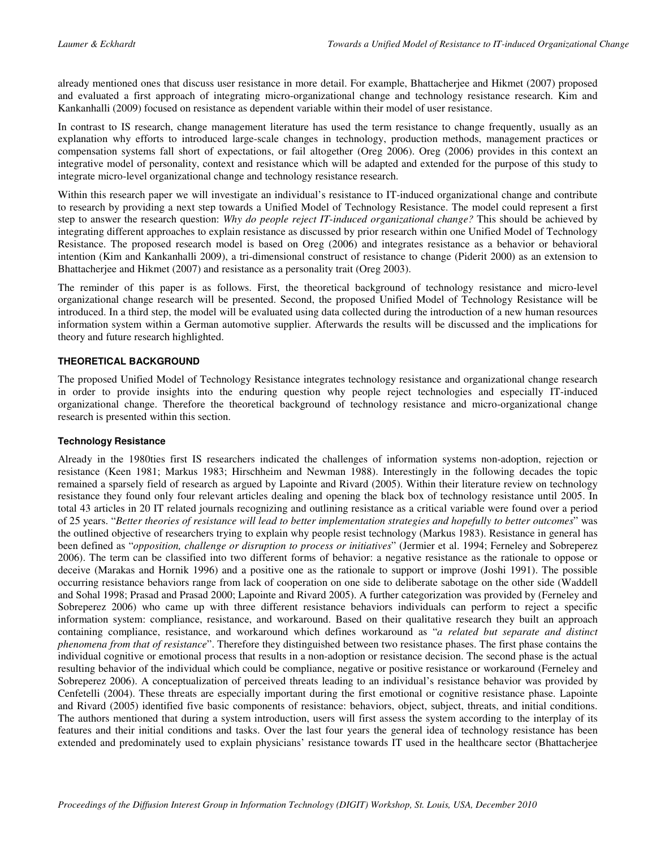already mentioned ones that discuss user resistance in more detail. For example, Bhattacherjee and Hikmet (2007) proposed and evaluated a first approach of integrating micro-organizational change and technology resistance research. Kim and Kankanhalli (2009) focused on resistance as dependent variable within their model of user resistance.

In contrast to IS research, change management literature has used the term resistance to change frequently, usually as an explanation why efforts to introduced large-scale changes in technology, production methods, management practices or compensation systems fall short of expectations, or fail altogether (Oreg 2006). Oreg (2006) provides in this context an integrative model of personality, context and resistance which will be adapted and extended for the purpose of this study to integrate micro-level organizational change and technology resistance research.

Within this research paper we will investigate an individual's resistance to IT-induced organizational change and contribute to research by providing a next step towards a Unified Model of Technology Resistance. The model could represent a first step to answer the research question: *Why do people reject IT-induced organizational change?* This should be achieved by integrating different approaches to explain resistance as discussed by prior research within one Unified Model of Technology Resistance. The proposed research model is based on Oreg (2006) and integrates resistance as a behavior or behavioral intention (Kim and Kankanhalli 2009), a tri-dimensional construct of resistance to change (Piderit 2000) as an extension to Bhattacherjee and Hikmet (2007) and resistance as a personality trait (Oreg 2003).

The reminder of this paper is as follows. First, the theoretical background of technology resistance and micro-level organizational change research will be presented. Second, the proposed Unified Model of Technology Resistance will be introduced. In a third step, the model will be evaluated using data collected during the introduction of a new human resources information system within a German automotive supplier. Afterwards the results will be discussed and the implications for theory and future research highlighted.

## **THEORETICAL BACKGROUND**

The proposed Unified Model of Technology Resistance integrates technology resistance and organizational change research in order to provide insights into the enduring question why people reject technologies and especially IT-induced organizational change. Therefore the theoretical background of technology resistance and micro-organizational change research is presented within this section.

## **Technology Resistance**

Already in the 1980ties first IS researchers indicated the challenges of information systems non-adoption, rejection or resistance (Keen 1981; Markus 1983; Hirschheim and Newman 1988). Interestingly in the following decades the topic remained a sparsely field of research as argued by Lapointe and Rivard (2005). Within their literature review on technology resistance they found only four relevant articles dealing and opening the black box of technology resistance until 2005. In total 43 articles in 20 IT related journals recognizing and outlining resistance as a critical variable were found over a period of 25 years. "*Better theories of resistance will lead to better implementation strategies and hopefully to better outcomes*" was the outlined objective of researchers trying to explain why people resist technology (Markus 1983). Resistance in general has been defined as "*opposition, challenge or disruption to process or initiatives*" (Jermier et al. 1994; Ferneley and Sobreperez 2006). The term can be classified into two different forms of behavior: a negative resistance as the rationale to oppose or deceive (Marakas and Hornik 1996) and a positive one as the rationale to support or improve (Joshi 1991). The possible occurring resistance behaviors range from lack of cooperation on one side to deliberate sabotage on the other side (Waddell and Sohal 1998; Prasad and Prasad 2000; Lapointe and Rivard 2005). A further categorization was provided by (Ferneley and Sobreperez 2006) who came up with three different resistance behaviors individuals can perform to reject a specific information system: compliance, resistance, and workaround. Based on their qualitative research they built an approach containing compliance, resistance, and workaround which defines workaround as "*a related but separate and distinct phenomena from that of resistance*". Therefore they distinguished between two resistance phases. The first phase contains the individual cognitive or emotional process that results in a non-adoption or resistance decision. The second phase is the actual resulting behavior of the individual which could be compliance, negative or positive resistance or workaround (Ferneley and Sobreperez 2006). A conceptualization of perceived threats leading to an individual's resistance behavior was provided by Cenfetelli (2004). These threats are especially important during the first emotional or cognitive resistance phase. Lapointe and Rivard (2005) identified five basic components of resistance: behaviors, object, subject, threats, and initial conditions. The authors mentioned that during a system introduction, users will first assess the system according to the interplay of its features and their initial conditions and tasks. Over the last four years the general idea of technology resistance has been extended and predominately used to explain physicians' resistance towards IT used in the healthcare sector (Bhattacherjee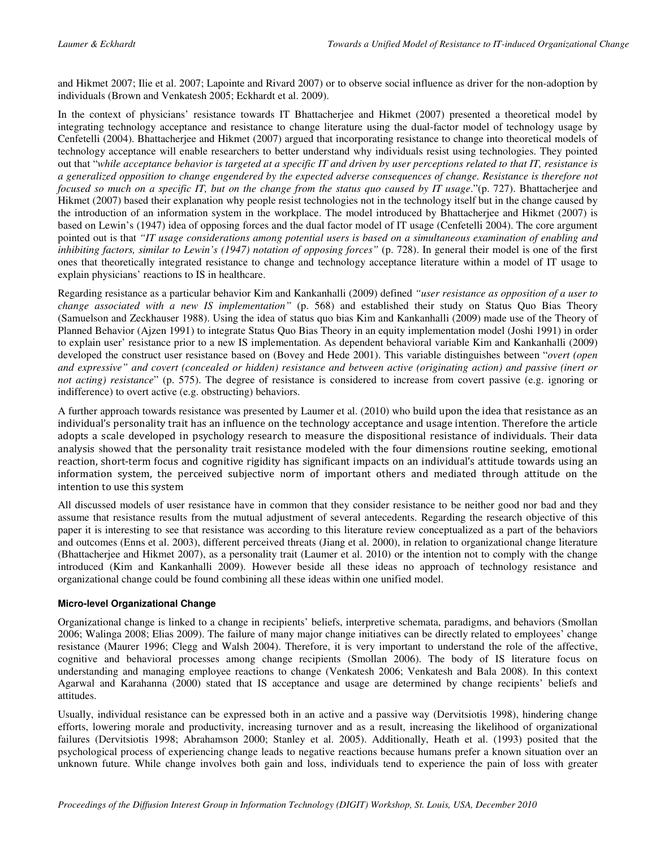and Hikmet 2007; Ilie et al. 2007; Lapointe and Rivard 2007) or to observe social influence as driver for the non-adoption by individuals (Brown and Venkatesh 2005; Eckhardt et al. 2009).

In the context of physicians' resistance towards IT Bhattacherjee and Hikmet (2007) presented a theoretical model by integrating technology acceptance and resistance to change literature using the dual-factor model of technology usage by Cenfetelli (2004). Bhattacherjee and Hikmet (2007) argued that incorporating resistance to change into theoretical models of technology acceptance will enable researchers to better understand why individuals resist using technologies. They pointed out that "*while acceptance behavior is targeted at a specific IT and driven by user perceptions related to that IT, resistance is a generalized opposition to change engendered by the expected adverse consequences of change. Resistance is therefore not focused so much on a specific IT, but on the change from the status quo caused by IT usage*."(p. 727). Bhattacherjee and Hikmet (2007) based their explanation why people resist technologies not in the technology itself but in the change caused by the introduction of an information system in the workplace. The model introduced by Bhattacherjee and Hikmet (2007) is based on Lewin's (1947) idea of opposing forces and the dual factor model of IT usage (Cenfetelli 2004). The core argument pointed out is that *"IT usage considerations among potential users is based on a simultaneous examination of enabling and inhibiting factors, similar to Lewin's (1947) notation of opposing forces"* (p. 728). In general their model is one of the first ones that theoretically integrated resistance to change and technology acceptance literature within a model of IT usage to explain physicians' reactions to IS in healthcare.

Regarding resistance as a particular behavior Kim and Kankanhalli (2009) defined *"user resistance as opposition of a user to change associated with a new IS implementation"* (p. 568) and established their study on Status Quo Bias Theory (Samuelson and Zeckhauser 1988). Using the idea of status quo bias Kim and Kankanhalli (2009) made use of the Theory of Planned Behavior (Ajzen 1991) to integrate Status Quo Bias Theory in an equity implementation model (Joshi 1991) in order to explain user' resistance prior to a new IS implementation. As dependent behavioral variable Kim and Kankanhalli (2009) developed the construct user resistance based on (Bovey and Hede 2001). This variable distinguishes between "*overt (open and expressive" and covert (concealed or hidden) resistance and between active (originating action) and passive (inert or not acting) resistance*" (p. 575). The degree of resistance is considered to increase from covert passive (e.g. ignoring or indifference) to overt active (e.g. obstructing) behaviors.

A further approach towards resistance was presented by Laumer et al. (2010) who build upon the idea that resistance as an individual's personality trait has an influence on the technology acceptance and usage intention. Therefore the article adopts a scale developed in psychology research to measure the dispositional resistance of individuals. Their data analysis showed that the personality trait resistance modeled with the four dimensions routine seeking, emotional reaction, short-term focus and cognitive rigidity has significant impacts on an individual's attitude towards using an information system, the perceived subjective norm of important others and mediated through attitude on the intention to use this system

All discussed models of user resistance have in common that they consider resistance to be neither good nor bad and they assume that resistance results from the mutual adjustment of several antecedents. Regarding the research objective of this paper it is interesting to see that resistance was according to this literature review conceptualized as a part of the behaviors and outcomes (Enns et al. 2003), different perceived threats (Jiang et al. 2000), in relation to organizational change literature (Bhattacherjee and Hikmet 2007), as a personality trait (Laumer et al. 2010) or the intention not to comply with the change introduced (Kim and Kankanhalli 2009). However beside all these ideas no approach of technology resistance and organizational change could be found combining all these ideas within one unified model.

## **Micro-level Organizational Change**

Organizational change is linked to a change in recipients' beliefs, interpretive schemata, paradigms, and behaviors (Smollan 2006; Walinga 2008; Elias 2009). The failure of many major change initiatives can be directly related to employees' change resistance (Maurer 1996; Clegg and Walsh 2004). Therefore, it is very important to understand the role of the affective, cognitive and behavioral processes among change recipients (Smollan 2006). The body of IS literature focus on understanding and managing employee reactions to change (Venkatesh 2006; Venkatesh and Bala 2008). In this context Agarwal and Karahanna (2000) stated that IS acceptance and usage are determined by change recipients' beliefs and attitudes.

Usually, individual resistance can be expressed both in an active and a passive way (Dervitsiotis 1998), hindering change efforts, lowering morale and productivity, increasing turnover and as a result, increasing the likelihood of organizational failures (Dervitsiotis 1998; Abrahamson 2000; Stanley et al. 2005). Additionally, Heath et al. (1993) posited that the psychological process of experiencing change leads to negative reactions because humans prefer a known situation over an unknown future. While change involves both gain and loss, individuals tend to experience the pain of loss with greater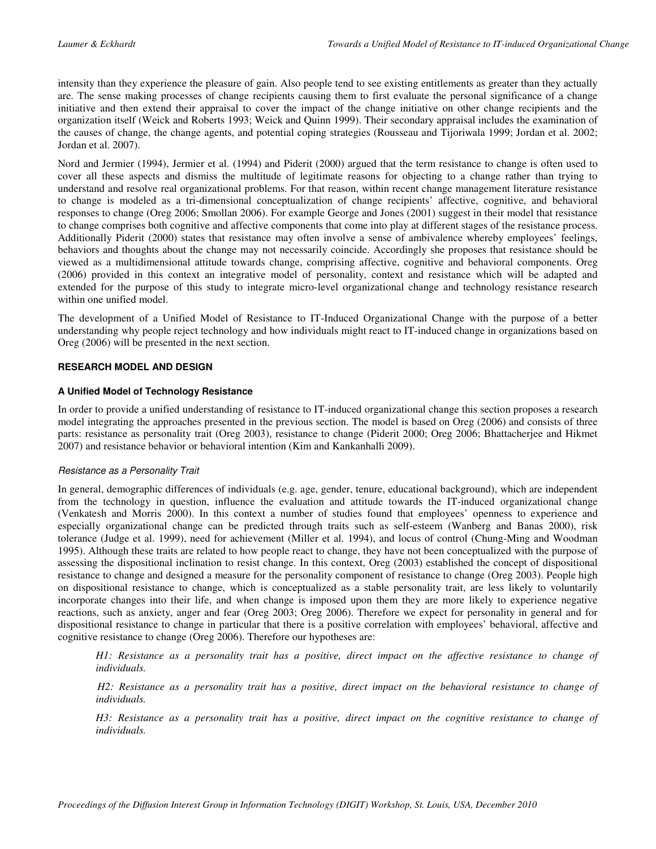intensity than they experience the pleasure of gain. Also people tend to see existing entitlements as greater than they actually are. The sense making processes of change recipients causing them to first evaluate the personal significance of a change initiative and then extend their appraisal to cover the impact of the change initiative on other change recipients and the organization itself (Weick and Roberts 1993; Weick and Quinn 1999). Their secondary appraisal includes the examination of the causes of change, the change agents, and potential coping strategies (Rousseau and Tijoriwala 1999; Jordan et al. 2002; Jordan et al. 2007).

Nord and Jermier (1994), Jermier et al. (1994) and Piderit (2000) argued that the term resistance to change is often used to cover all these aspects and dismiss the multitude of legitimate reasons for objecting to a change rather than trying to understand and resolve real organizational problems. For that reason, within recent change management literature resistance to change is modeled as a tri-dimensional conceptualization of change recipients' affective, cognitive, and behavioral responses to change (Oreg 2006; Smollan 2006). For example George and Jones (2001) suggest in their model that resistance to change comprises both cognitive and affective components that come into play at different stages of the resistance process. Additionally Piderit (2000) states that resistance may often involve a sense of ambivalence whereby employees' feelings, behaviors and thoughts about the change may not necessarily coincide. Accordingly she proposes that resistance should be viewed as a multidimensional attitude towards change, comprising affective, cognitive and behavioral components. Oreg (2006) provided in this context an integrative model of personality, context and resistance which will be adapted and extended for the purpose of this study to integrate micro-level organizational change and technology resistance research within one unified model.

The development of a Unified Model of Resistance to IT-Induced Organizational Change with the purpose of a better understanding why people reject technology and how individuals might react to IT-induced change in organizations based on Oreg (2006) will be presented in the next section.

## **RESEARCH MODEL AND DESIGN**

## **A Unified Model of Technology Resistance**

In order to provide a unified understanding of resistance to IT-induced organizational change this section proposes a research model integrating the approaches presented in the previous section. The model is based on Oreg (2006) and consists of three parts: resistance as personality trait (Oreg 2003), resistance to change (Piderit 2000; Oreg 2006; Bhattacherjee and Hikmet 2007) and resistance behavior or behavioral intention (Kim and Kankanhalli 2009).

## Resistance as a Personality Trait

In general, demographic differences of individuals (e.g. age, gender, tenure, educational background), which are independent from the technology in question, influence the evaluation and attitude towards the IT-induced organizational change (Venkatesh and Morris 2000). In this context a number of studies found that employees' openness to experience and especially organizational change can be predicted through traits such as self-esteem (Wanberg and Banas 2000), risk tolerance (Judge et al. 1999), need for achievement (Miller et al. 1994), and locus of control (Chung-Ming and Woodman 1995). Although these traits are related to how people react to change, they have not been conceptualized with the purpose of assessing the dispositional inclination to resist change. In this context, Oreg (2003) established the concept of dispositional resistance to change and designed a measure for the personality component of resistance to change (Oreg 2003). People high on dispositional resistance to change, which is conceptualized as a stable personality trait, are less likely to voluntarily incorporate changes into their life, and when change is imposed upon them they are more likely to experience negative reactions, such as anxiety, anger and fear (Oreg 2003; Oreg 2006). Therefore we expect for personality in general and for dispositional resistance to change in particular that there is a positive correlation with employees' behavioral, affective and cognitive resistance to change (Oreg 2006). Therefore our hypotheses are:

*H1: Resistance as a personality trait has a positive, direct impact on the affective resistance to change of individuals.* 

*H2: Resistance as a personality trait has a positive, direct impact on the behavioral resistance to change of individuals.* 

*H3: Resistance as a personality trait has a positive, direct impact on the cognitive resistance to change of individuals.*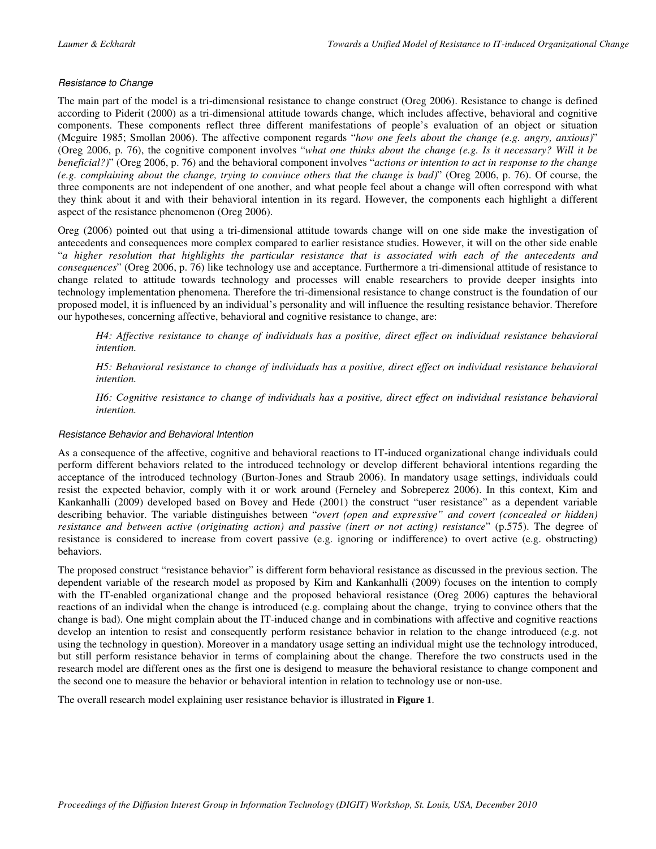## Resistance to Change

The main part of the model is a tri-dimensional resistance to change construct (Oreg 2006). Resistance to change is defined according to Piderit (2000) as a tri-dimensional attitude towards change, which includes affective, behavioral and cognitive components. These components reflect three different manifestations of people's evaluation of an object or situation (Mcguire 1985; Smollan 2006). The affective component regards "*how one feels about the change (e.g. angry, anxious)*" (Oreg 2006, p. 76), the cognitive component involves "*what one thinks about the change (e.g. Is it necessary? Will it be beneficial?)*" (Oreg 2006, p. 76) and the behavioral component involves "*actions or intention to act in response to the change (e.g. complaining about the change, trying to convince others that the change is bad)*" (Oreg 2006, p. 76). Of course, the three components are not independent of one another, and what people feel about a change will often correspond with what they think about it and with their behavioral intention in its regard. However, the components each highlight a different aspect of the resistance phenomenon (Oreg 2006).

Oreg (2006) pointed out that using a tri-dimensional attitude towards change will on one side make the investigation of antecedents and consequences more complex compared to earlier resistance studies. However, it will on the other side enable "*a higher resolution that highlights the particular resistance that is associated with each of the antecedents and consequences*" (Oreg 2006, p. 76) like technology use and acceptance. Furthermore a tri-dimensional attitude of resistance to change related to attitude towards technology and processes will enable researchers to provide deeper insights into technology implementation phenomena. Therefore the tri-dimensional resistance to change construct is the foundation of our proposed model, it is influenced by an individual's personality and will influence the resulting resistance behavior. Therefore our hypotheses, concerning affective, behavioral and cognitive resistance to change, are:

*H4: Affective resistance to change of individuals has a positive, direct effect on individual resistance behavioral intention.* 

*H5: Behavioral resistance to change of individuals has a positive, direct effect on individual resistance behavioral intention.* 

*H6: Cognitive resistance to change of individuals has a positive, direct effect on individual resistance behavioral intention.* 

## Resistance Behavior and Behavioral Intention

As a consequence of the affective, cognitive and behavioral reactions to IT-induced organizational change individuals could perform different behaviors related to the introduced technology or develop different behavioral intentions regarding the acceptance of the introduced technology (Burton-Jones and Straub 2006). In mandatory usage settings, individuals could resist the expected behavior, comply with it or work around (Ferneley and Sobreperez 2006). In this context, Kim and Kankanhalli (2009) developed based on Bovey and Hede (2001) the construct "user resistance" as a dependent variable describing behavior. The variable distinguishes between "*overt (open and expressive" and covert (concealed or hidden) resistance and between active (originating action) and passive (inert or not acting) resistance*" (p.575). The degree of resistance is considered to increase from covert passive (e.g. ignoring or indifference) to overt active (e.g. obstructing) behaviors.

The proposed construct "resistance behavior" is different form behavioral resistance as discussed in the previous section. The dependent variable of the research model as proposed by Kim and Kankanhalli (2009) focuses on the intention to comply with the IT-enabled organizational change and the proposed behavioral resistance (Oreg 2006) captures the behavioral reactions of an individal when the change is introduced (e.g. complaing about the change, trying to convince others that the change is bad). One might complain about the IT-induced change and in combinations with affective and cognitive reactions develop an intention to resist and consequently perform resistance behavior in relation to the change introduced (e.g. not using the technology in question). Moreover in a mandatory usage setting an individual might use the technology introduced, but still perform resistance behavior in terms of complaining about the change. Therefore the two constructs used in the research model are different ones as the first one is desigend to measure the behavioral resistance to change component and the second one to measure the behavior or behavioral intention in relation to technology use or non-use.

The overall research model explaining user resistance behavior is illustrated in **Figure 1**.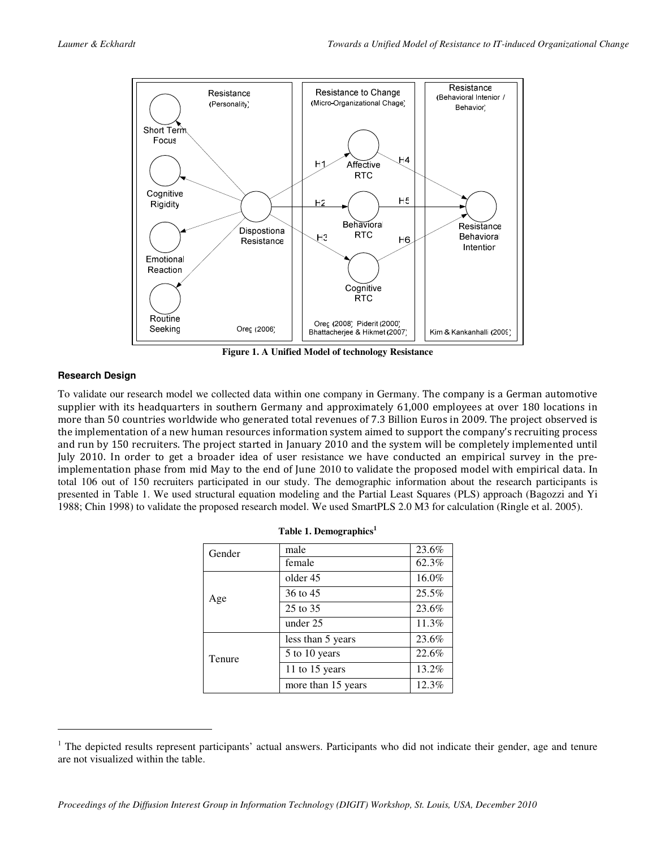

**Figure 1. A Unified Model of technology Resistance** 

## **Research Design**

-

To validate our research model we collected data within one company in Germany. The company is a German automotive supplier with its headquarters in southern Germany and approximately 61,000 employees at over 180 locations in more than 50 countries worldwide who generated total revenues of 7.3 Billion Euros in 2009. The project observed is the implementation of a new human resources information system aimed to support the company's recruiting process and run by 150 recruiters. The project started in January 2010 and the system will be completely implemented until July 2010. In order to get a broader idea of user resistance we have conducted an empirical survey in the preimplementation phase from mid May to the end of June 2010 to validate the proposed model with empirical data. In total 106 out of 150 recruiters participated in our study. The demographic information about the research participants is presented in Table 1. We used structural equation modeling and the Partial Least Squares (PLS) approach (Bagozzi and Yi 1988; Chin 1998) to validate the proposed research model. We used SmartPLS 2.0 M3 for calculation (Ringle et al. 2005).

| Gender | male               | 23.6% |
|--------|--------------------|-------|
|        | female             | 62.3% |
|        | older 45           | 16.0% |
| Age    | 36 to 45           | 25.5% |
|        | 25 to 35           | 23.6% |
|        | under 25           | 11.3% |
|        | less than 5 years  | 23.6% |
| Tenure | 5 to 10 years      | 22.6% |
|        | 11 to 15 years     | 13.2% |
|        | more than 15 years | 12.3% |

<sup>&</sup>lt;sup>1</sup> The depicted results represent participants' actual answers. Participants who did not indicate their gender, age and tenure are not visualized within the table.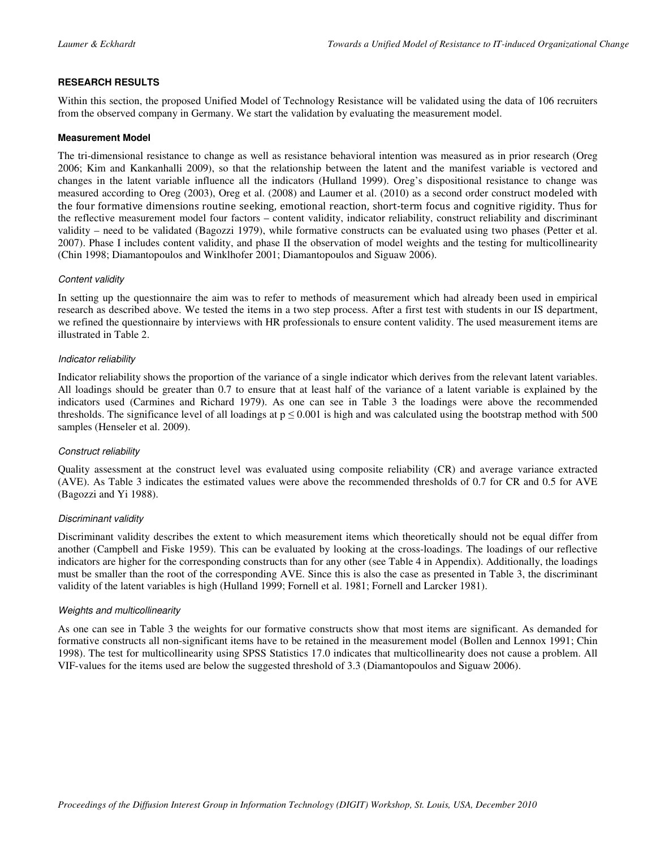## **RESEARCH RESULTS**

Within this section, the proposed Unified Model of Technology Resistance will be validated using the data of 106 recruiters from the observed company in Germany. We start the validation by evaluating the measurement model.

## **Measurement Model**

The tri-dimensional resistance to change as well as resistance behavioral intention was measured as in prior research (Oreg 2006; Kim and Kankanhalli 2009), so that the relationship between the latent and the manifest variable is vectored and changes in the latent variable influence all the indicators (Hulland 1999). Oreg's dispositional resistance to change was measured according to Oreg (2003), Oreg et al. (2008) and Laumer et al. (2010) as a second order construct modeled with the four formative dimensions routine seeking, emotional reaction, short-term focus and cognitive rigidity. Thus for the reflective measurement model four factors – content validity, indicator reliability, construct reliability and discriminant validity – need to be validated (Bagozzi 1979), while formative constructs can be evaluated using two phases (Petter et al. 2007). Phase I includes content validity, and phase II the observation of model weights and the testing for multicollinearity (Chin 1998; Diamantopoulos and Winklhofer 2001; Diamantopoulos and Siguaw 2006).

## Content validity

In setting up the questionnaire the aim was to refer to methods of measurement which had already been used in empirical research as described above. We tested the items in a two step process. After a first test with students in our IS department, we refined the questionnaire by interviews with HR professionals to ensure content validity. The used measurement items are illustrated in Table 2.

## Indicator reliability

Indicator reliability shows the proportion of the variance of a single indicator which derives from the relevant latent variables. All loadings should be greater than 0.7 to ensure that at least half of the variance of a latent variable is explained by the indicators used (Carmines and Richard 1979). As one can see in Table 3 the loadings were above the recommended thresholds. The significance level of all loadings at  $p \le 0.001$  is high and was calculated using the bootstrap method with 500 samples (Henseler et al. 2009).

## Construct reliability

Quality assessment at the construct level was evaluated using composite reliability (CR) and average variance extracted (AVE). As Table 3 indicates the estimated values were above the recommended thresholds of 0.7 for CR and 0.5 for AVE (Bagozzi and Yi 1988).

## Discriminant validity

Discriminant validity describes the extent to which measurement items which theoretically should not be equal differ from another (Campbell and Fiske 1959). This can be evaluated by looking at the cross-loadings. The loadings of our reflective indicators are higher for the corresponding constructs than for any other (see Table 4 in Appendix). Additionally, the loadings must be smaller than the root of the corresponding AVE. Since this is also the case as presented in Table 3, the discriminant validity of the latent variables is high (Hulland 1999; Fornell et al. 1981; Fornell and Larcker 1981).

## Weights and multicollinearity

As one can see in Table 3 the weights for our formative constructs show that most items are significant. As demanded for formative constructs all non-significant items have to be retained in the measurement model (Bollen and Lennox 1991; Chin 1998). The test for multicollinearity using SPSS Statistics 17.0 indicates that multicollinearity does not cause a problem. All VIF-values for the items used are below the suggested threshold of 3.3 (Diamantopoulos and Siguaw 2006).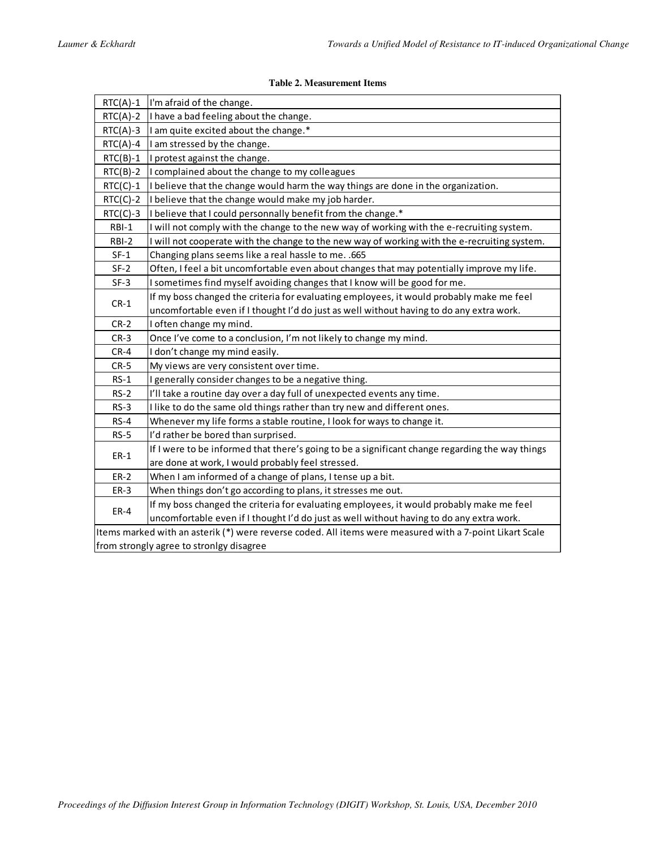## **Table 2. Measurement Items**

| $RTC(A)-1$                                                                                               | I'm afraid of the change.                                                                       |  |  |  |  |  |
|----------------------------------------------------------------------------------------------------------|-------------------------------------------------------------------------------------------------|--|--|--|--|--|
| $RTC(A)-2$                                                                                               | I have a bad feeling about the change.                                                          |  |  |  |  |  |
| $RTC(A)-3$                                                                                               | I am quite excited about the change.*                                                           |  |  |  |  |  |
| $RTC(A)-4$                                                                                               | I am stressed by the change.                                                                    |  |  |  |  |  |
| $RTC(B)-1$                                                                                               | I protest against the change.                                                                   |  |  |  |  |  |
| $RTC(B)-2$                                                                                               | I complained about the change to my colleagues                                                  |  |  |  |  |  |
| $RTC(C)-1$                                                                                               | I believe that the change would harm the way things are done in the organization.               |  |  |  |  |  |
| $RTC(C)-2$                                                                                               | I believe that the change would make my job harder.                                             |  |  |  |  |  |
| $RTC(C)-3$                                                                                               | I believe that I could personnally benefit from the change.*                                    |  |  |  |  |  |
| RBI-1                                                                                                    | I will not comply with the change to the new way of working with the e-recruiting system.       |  |  |  |  |  |
| RBI-2                                                                                                    | I will not cooperate with the change to the new way of working with the e-recruiting system.    |  |  |  |  |  |
| $SF-1$                                                                                                   | Changing plans seems like a real hassle to me. . 665                                            |  |  |  |  |  |
| $SF-2$                                                                                                   | Often, I feel a bit uncomfortable even about changes that may potentially improve my life.      |  |  |  |  |  |
| $SF-3$                                                                                                   | I sometimes find myself avoiding changes that I know will be good for me.                       |  |  |  |  |  |
|                                                                                                          | If my boss changed the criteria for evaluating employees, it would probably make me feel        |  |  |  |  |  |
| $CR-1$                                                                                                   | uncomfortable even if I thought I'd do just as well without having to do any extra work.        |  |  |  |  |  |
| $CR-2$                                                                                                   | I often change my mind.                                                                         |  |  |  |  |  |
| $CR-3$                                                                                                   | Once I've come to a conclusion, I'm not likely to change my mind.                               |  |  |  |  |  |
| $CR-4$                                                                                                   | I don't change my mind easily.                                                                  |  |  |  |  |  |
| $CR-5$                                                                                                   | My views are very consistent over time.                                                         |  |  |  |  |  |
| $RS-1$                                                                                                   | I generally consider changes to be a negative thing.                                            |  |  |  |  |  |
| $RS-2$                                                                                                   | I'll take a routine day over a day full of unexpected events any time.                          |  |  |  |  |  |
| $RS-3$                                                                                                   | I like to do the same old things rather than try new and different ones.                        |  |  |  |  |  |
| $RS-4$                                                                                                   | Whenever my life forms a stable routine, I look for ways to change it.                          |  |  |  |  |  |
| $RS-5$                                                                                                   | I'd rather be bored than surprised.                                                             |  |  |  |  |  |
|                                                                                                          | If I were to be informed that there's going to be a significant change regarding the way things |  |  |  |  |  |
| $ER-1$                                                                                                   | are done at work, I would probably feel stressed.                                               |  |  |  |  |  |
| $ER-2$                                                                                                   | When I am informed of a change of plans, I tense up a bit.                                      |  |  |  |  |  |
| $ER-3$                                                                                                   | When things don't go according to plans, it stresses me out.                                    |  |  |  |  |  |
| $ER-4$                                                                                                   | If my boss changed the criteria for evaluating employees, it would probably make me feel        |  |  |  |  |  |
|                                                                                                          | uncomfortable even if I thought I'd do just as well without having to do any extra work.        |  |  |  |  |  |
| Items marked with an asterik (*) were reverse coded. All items were measured with a 7-point Likart Scale |                                                                                                 |  |  |  |  |  |
|                                                                                                          | from strongly agree to stronlgy disagree                                                        |  |  |  |  |  |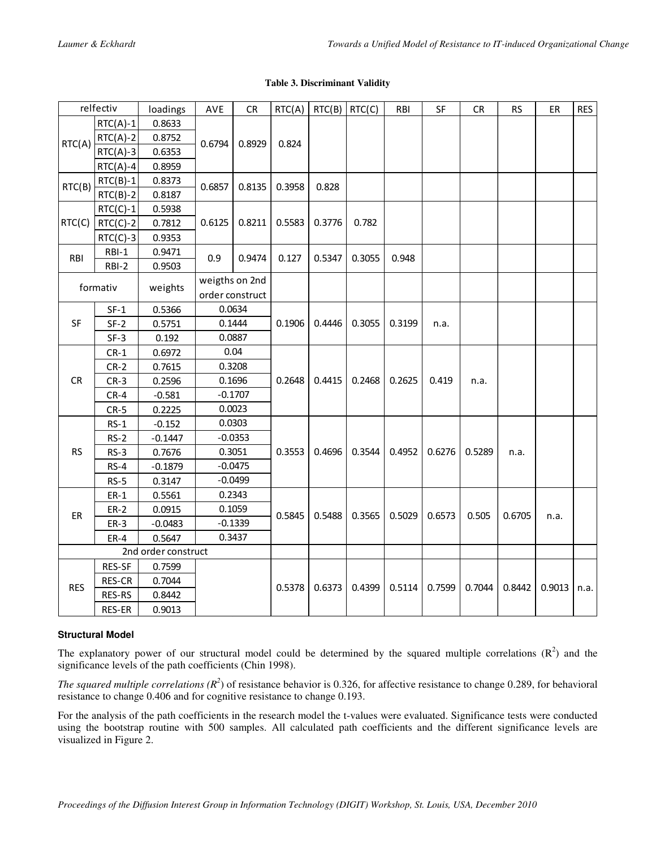|  |  | <b>Table 3. Discriminant Validity</b> |  |
|--|--|---------------------------------------|--|
|--|--|---------------------------------------|--|

|                     | relfectiv  | loadings  | AVE                 | ${\sf CR}$ | RTC(A) | $RTC(B)$ RTC(C) |        | RBI    | SF     | ${\sf CR}$ | <b>RS</b> | ER     | <b>RES</b> |
|---------------------|------------|-----------|---------------------|------------|--------|-----------------|--------|--------|--------|------------|-----------|--------|------------|
| RTC(A)              | $RTC(A)-1$ | 0.8633    | 0.6794              | 0.8929     | 0.824  |                 |        |        |        |            |           |        |            |
|                     | $RTC(A)-2$ | 0.8752    |                     |            |        |                 |        |        |        |            |           |        |            |
|                     | $RTC(A)-3$ | 0.6353    |                     |            |        |                 |        |        |        |            |           |        |            |
|                     | $RTC(A)-4$ | 0.8959    |                     |            |        |                 |        |        |        |            |           |        |            |
| RTC(B)              | $RTC(B)-1$ | 0.8373    | 0.6857              | 0.8135     | 0.3958 | 0.828           |        |        |        |            |           |        |            |
|                     | $RTC(B)-2$ | 0.8187    |                     |            |        |                 |        |        |        |            |           |        |            |
|                     | $RTC(C)-1$ | 0.5938    | 0.6125              | 0.8211     | 0.5583 | 0.3776          | 0.782  |        |        |            |           |        |            |
| RTC(C)              | $RTC(C)-2$ | 0.7812    |                     |            |        |                 |        |        |        |            |           |        |            |
|                     | $RTC(C)-3$ | 0.9353    |                     |            |        |                 |        |        |        |            |           |        |            |
| RBI                 | $RBI-1$    | 0.9471    | 0.9                 | 0.9474     | 0.127  | 0.5347          | 0.3055 | 0.948  |        |            |           |        |            |
|                     | RBI-2      | 0.9503    |                     |            |        |                 |        |        |        |            |           |        |            |
|                     | formativ   | weights   | weigths on 2nd      |            |        |                 |        |        |        |            |           |        |            |
|                     |            |           | order construct     |            |        |                 |        |        |        |            |           |        |            |
|                     | $SF-1$     | 0.5366    | 0.0634              |            |        |                 |        |        |        |            |           |        |            |
| SF                  | $SF-2$     | 0.5751    | 0.1444              |            | 0.1906 | 0.4446          | 0.3055 | 0.3199 | n.a.   |            |           |        |            |
|                     | $SF-3$     | 0.192     | 0.0887              |            |        |                 |        |        |        |            |           |        |            |
|                     | $CR-1$     | 0.6972    | 0.04                |            |        |                 |        |        |        |            |           |        |            |
|                     | $CR-2$     | 0.7615    |                     | 0.3208     | 0.2648 | 0.4415          | 0.2468 | 0.2625 | 0.419  | n.a.       |           |        |            |
| CR                  | $CR-3$     | 0.2596    |                     | 0.1696     |        |                 |        |        |        |            |           |        |            |
|                     | $CR-4$     | $-0.581$  |                     | $-0.1707$  |        |                 |        |        |        |            |           |        |            |
|                     | $CR-5$     | 0.2225    | 0.0023              |            |        |                 |        |        |        |            |           |        |            |
|                     | $RS-1$     | $-0.152$  | 0.0303<br>$-0.0353$ |            |        | 0.4696          | 0.3544 | 0.4952 | 0.6276 | 0.5289     | n.a.      |        |            |
|                     | $RS-2$     | $-0.1447$ |                     |            |        |                 |        |        |        |            |           |        |            |
| <b>RS</b>           | $RS-3$     | 0.7676    |                     | 0.3051     |        |                 |        |        |        |            |           |        |            |
|                     | $RS-4$     | $-0.1879$ |                     | $-0.0475$  |        |                 |        |        |        |            |           |        |            |
|                     | $RS-5$     | 0.3147    |                     | $-0.0499$  |        |                 |        |        |        |            |           |        |            |
|                     | $ER-1$     | 0.5561    | 0.2343              |            |        | 0.5488          | 0.3565 | 0.5029 | 0.6573 | 0.505      | 0.6705    | n.a.   |            |
| ER                  | $ER-2$     | 0.0915    |                     | 0.1059     | 0.5845 |                 |        |        |        |            |           |        |            |
|                     | $ER-3$     | $-0.0483$ |                     | $-0.1339$  |        |                 |        |        |        |            |           |        |            |
|                     | $ER-4$     | 0.5647    |                     | 0.3437     |        |                 |        |        |        |            |           |        |            |
| 2nd order construct |            |           |                     |            |        |                 |        |        |        |            |           |        |            |
|                     | RES-SF     | 0.7599    |                     |            |        |                 |        |        |        |            |           |        |            |
| <b>RES</b>          | RES-CR     | 0.7044    |                     |            |        |                 |        |        |        |            |           |        |            |
|                     | RES-RS     | 0.8442    |                     |            | 0.5378 | 0.6373          | 0.4399 | 0.5114 | 0.7599 | 0.7044     | 0.8442    | 0.9013 | n.a.       |
|                     | RES-ER     | 0.9013    |                     |            |        |                 |        |        |        |            |           |        |            |

## **Structural Model**

The explanatory power of our structural model could be determined by the squared multiple correlations  $(R^2)$  and the significance levels of the path coefficients (Chin 1998).

*The squared multiple correlations*  $(R^2)$  of resistance behavior is 0.326, for affective resistance to change 0.289, for behavioral resistance to change 0.406 and for cognitive resistance to change 0.193.

For the analysis of the path coefficients in the research model the t-values were evaluated. Significance tests were conducted using the bootstrap routine with 500 samples. All calculated path coefficients and the different significance levels are visualized in Figure 2.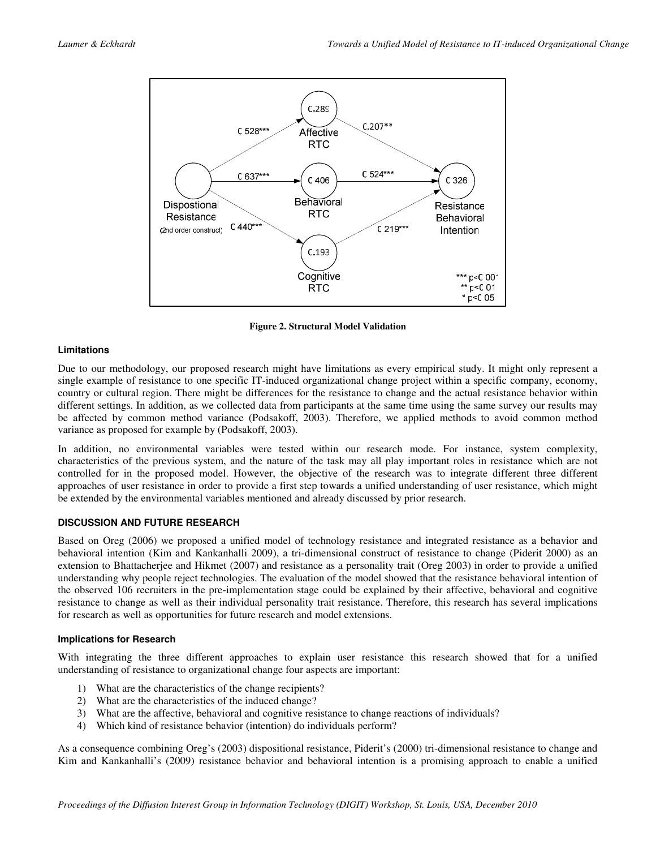

**Figure 2. Structural Model Validation** 

## **Limitations**

Due to our methodology, our proposed research might have limitations as every empirical study. It might only represent a single example of resistance to one specific IT-induced organizational change project within a specific company, economy, country or cultural region. There might be differences for the resistance to change and the actual resistance behavior within different settings. In addition, as we collected data from participants at the same time using the same survey our results may be affected by common method variance (Podsakoff, 2003). Therefore, we applied methods to avoid common method variance as proposed for example by (Podsakoff, 2003).

In addition, no environmental variables were tested within our research mode. For instance, system complexity, characteristics of the previous system, and the nature of the task may all play important roles in resistance which are not controlled for in the proposed model. However, the objective of the research was to integrate different three different approaches of user resistance in order to provide a first step towards a unified understanding of user resistance, which might be extended by the environmental variables mentioned and already discussed by prior research.

## **DISCUSSION AND FUTURE RESEARCH**

Based on Oreg (2006) we proposed a unified model of technology resistance and integrated resistance as a behavior and behavioral intention (Kim and Kankanhalli 2009), a tri-dimensional construct of resistance to change (Piderit 2000) as an extension to Bhattacherjee and Hikmet (2007) and resistance as a personality trait (Oreg 2003) in order to provide a unified understanding why people reject technologies. The evaluation of the model showed that the resistance behavioral intention of the observed 106 recruiters in the pre-implementation stage could be explained by their affective, behavioral and cognitive resistance to change as well as their individual personality trait resistance. Therefore, this research has several implications for research as well as opportunities for future research and model extensions.

## **Implications for Research**

With integrating the three different approaches to explain user resistance this research showed that for a unified understanding of resistance to organizational change four aspects are important:

- 1) What are the characteristics of the change recipients?
- 2) What are the characteristics of the induced change?
- 3) What are the affective, behavioral and cognitive resistance to change reactions of individuals?
- 4) Which kind of resistance behavior (intention) do individuals perform?

As a consequence combining Oreg's (2003) dispositional resistance, Piderit's (2000) tri-dimensional resistance to change and Kim and Kankanhalli's (2009) resistance behavior and behavioral intention is a promising approach to enable a unified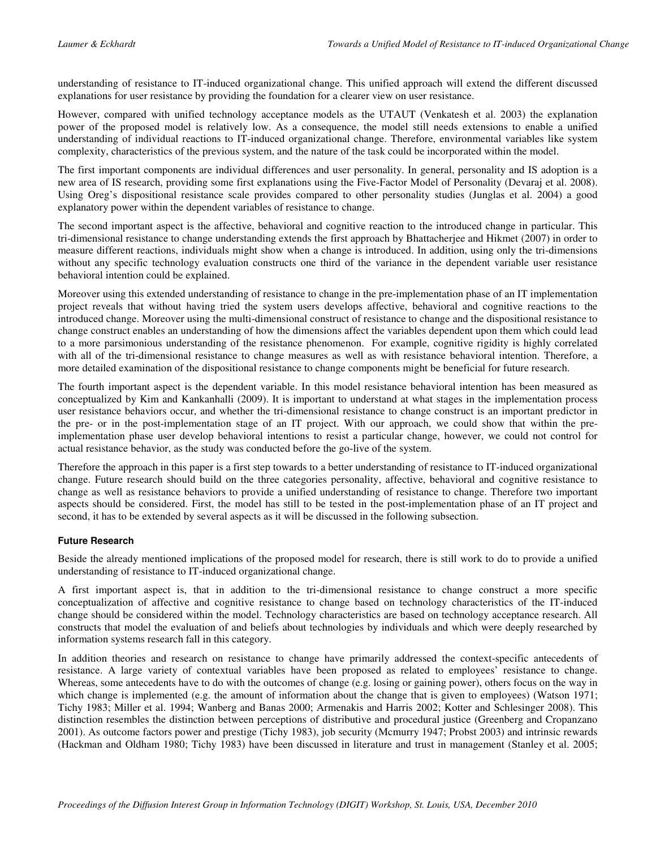understanding of resistance to IT-induced organizational change. This unified approach will extend the different discussed explanations for user resistance by providing the foundation for a clearer view on user resistance.

However, compared with unified technology acceptance models as the UTAUT (Venkatesh et al. 2003) the explanation power of the proposed model is relatively low. As a consequence, the model still needs extensions to enable a unified understanding of individual reactions to IT-induced organizational change. Therefore, environmental variables like system complexity, characteristics of the previous system, and the nature of the task could be incorporated within the model.

The first important components are individual differences and user personality. In general, personality and IS adoption is a new area of IS research, providing some first explanations using the Five-Factor Model of Personality (Devaraj et al. 2008). Using Oreg's dispositional resistance scale provides compared to other personality studies (Junglas et al. 2004) a good explanatory power within the dependent variables of resistance to change.

The second important aspect is the affective, behavioral and cognitive reaction to the introduced change in particular. This tri-dimensional resistance to change understanding extends the first approach by Bhattacherjee and Hikmet (2007) in order to measure different reactions, individuals might show when a change is introduced. In addition, using only the tri-dimensions without any specific technology evaluation constructs one third of the variance in the dependent variable user resistance behavioral intention could be explained.

Moreover using this extended understanding of resistance to change in the pre-implementation phase of an IT implementation project reveals that without having tried the system users develops affective, behavioral and cognitive reactions to the introduced change. Moreover using the multi-dimensional construct of resistance to change and the dispositional resistance to change construct enables an understanding of how the dimensions affect the variables dependent upon them which could lead to a more parsimonious understanding of the resistance phenomenon. For example, cognitive rigidity is highly correlated with all of the tri-dimensional resistance to change measures as well as with resistance behavioral intention. Therefore, a more detailed examination of the dispositional resistance to change components might be beneficial for future research.

The fourth important aspect is the dependent variable. In this model resistance behavioral intention has been measured as conceptualized by Kim and Kankanhalli (2009). It is important to understand at what stages in the implementation process user resistance behaviors occur, and whether the tri-dimensional resistance to change construct is an important predictor in the pre- or in the post-implementation stage of an IT project. With our approach, we could show that within the preimplementation phase user develop behavioral intentions to resist a particular change, however, we could not control for actual resistance behavior, as the study was conducted before the go-live of the system.

Therefore the approach in this paper is a first step towards to a better understanding of resistance to IT-induced organizational change. Future research should build on the three categories personality, affective, behavioral and cognitive resistance to change as well as resistance behaviors to provide a unified understanding of resistance to change. Therefore two important aspects should be considered. First, the model has still to be tested in the post-implementation phase of an IT project and second, it has to be extended by several aspects as it will be discussed in the following subsection.

## **Future Research**

Beside the already mentioned implications of the proposed model for research, there is still work to do to provide a unified understanding of resistance to IT-induced organizational change.

A first important aspect is, that in addition to the tri-dimensional resistance to change construct a more specific conceptualization of affective and cognitive resistance to change based on technology characteristics of the IT-induced change should be considered within the model. Technology characteristics are based on technology acceptance research. All constructs that model the evaluation of and beliefs about technologies by individuals and which were deeply researched by information systems research fall in this category.

In addition theories and research on resistance to change have primarily addressed the context-specific antecedents of resistance. A large variety of contextual variables have been proposed as related to employees' resistance to change. Whereas, some antecedents have to do with the outcomes of change (e.g. losing or gaining power), others focus on the way in which change is implemented (e.g. the amount of information about the change that is given to employees) (Watson 1971; Tichy 1983; Miller et al. 1994; Wanberg and Banas 2000; Armenakis and Harris 2002; Kotter and Schlesinger 2008). This distinction resembles the distinction between perceptions of distributive and procedural justice (Greenberg and Cropanzano 2001). As outcome factors power and prestige (Tichy 1983), job security (Mcmurry 1947; Probst 2003) and intrinsic rewards (Hackman and Oldham 1980; Tichy 1983) have been discussed in literature and trust in management (Stanley et al. 2005;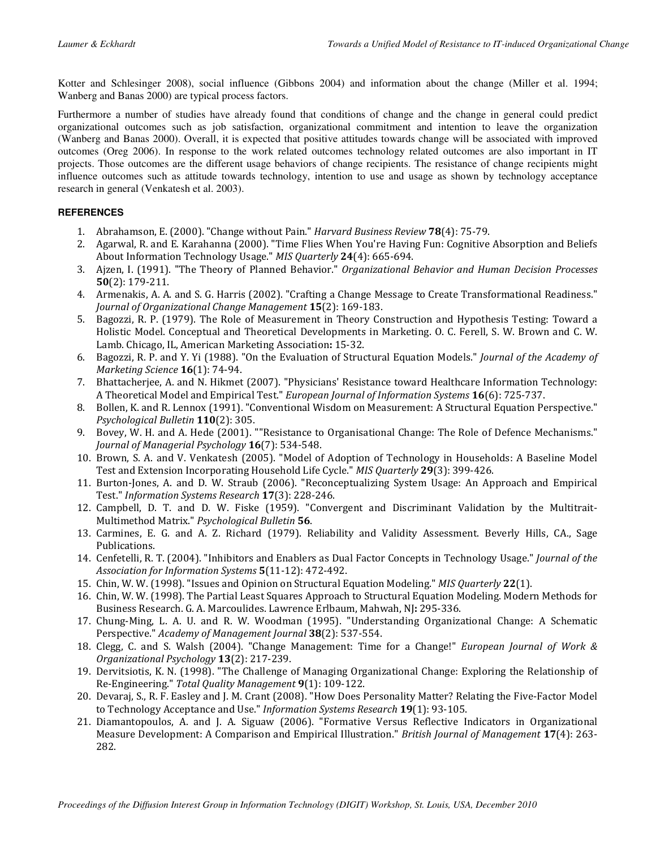Kotter and Schlesinger 2008), social influence (Gibbons 2004) and information about the change (Miller et al. 1994; Wanberg and Banas 2000) are typical process factors.

Furthermore a number of studies have already found that conditions of change and the change in general could predict organizational outcomes such as job satisfaction, organizational commitment and intention to leave the organization (Wanberg and Banas 2000). Overall, it is expected that positive attitudes towards change will be associated with improved outcomes (Oreg 2006). In response to the work related outcomes technology related outcomes are also important in IT projects. Those outcomes are the different usage behaviors of change recipients. The resistance of change recipients might influence outcomes such as attitude towards technology, intention to use and usage as shown by technology acceptance research in general (Venkatesh et al. 2003).

## **REFERENCES**

- 1. Abrahamson, E. (2000). "Change without Pain." Harvard Business Review 78(4): 75-79.
- 2. Agarwal, R. and E. Karahanna (2000). "Time Flies When You're Having Fun: Cognitive Absorption and Beliefs About Information Technology Usage." MIS Quarterly 24(4): 665-694.
- 3. Ajzen, I. (1991). "The Theory of Planned Behavior." Organizational Behavior and Human Decision Processes 50(2): 179-211.
- 4. Armenakis, A. A. and S. G. Harris (2002). "Crafting a Change Message to Create Transformational Readiness." Journal of Organizational Change Management 15(2): 169-183.
- 5. Bagozzi, R. P. (1979). The Role of Measurement in Theory Construction and Hypothesis Testing: Toward a Holistic Model. Conceptual and Theoretical Developments in Marketing. O. C. Ferell, S. W. Brown and C. W. Lamb. Chicago, IL, American Marketing Association: 15-32.
- 6. Bagozzi, R. P. and Y. Yi (1988). "On the Evaluation of Structural Equation Models." Journal of the Academy of Marketing Science 16(1): 74-94.
- 7. Bhattacherjee, A. and N. Hikmet (2007). "Physicians' Resistance toward Healthcare Information Technology: A Theoretical Model and Empirical Test." European Journal of Information Systems 16(6): 725-737.
- 8. Bollen, K. and R. Lennox (1991). "Conventional Wisdom on Measurement: A Structural Equation Perspective." Psychological Bulletin 110(2): 305.
- 9. Bovey, W. H. and A. Hede (2001). ""Resistance to Organisational Change: The Role of Defence Mechanisms." Journal of Managerial Psychology 16(7): 534-548.
- 10. Brown, S. A. and V. Venkatesh (2005). "Model of Adoption of Technology in Households: A Baseline Model Test and Extension Incorporating Household Life Cycle." MIS Quarterly 29(3): 399-426.
- 11. Burton-Jones, A. and D. W. Straub (2006). "Reconceptualizing System Usage: An Approach and Empirical Test." Information Systems Research 17(3): 228-246.
- 12. Campbell, D. T. and D. W. Fiske (1959). "Convergent and Discriminant Validation by the Multitrait-Multimethod Matrix." Psychological Bulletin 56.
- 13. Carmines, E. G. and A. Z. Richard (1979). Reliability and Validity Assessment. Beverly Hills, CA., Sage Publications.
- 14. Cenfetelli, R. T. (2004). "Inhibitors and Enablers as Dual Factor Concepts in Technology Usage." Journal of the Association for Information Systems 5(11-12): 472-492.
- 15. Chin, W. W. (1998). "Issues and Opinion on Structural Equation Modeling." MIS Quarterly 22(1).
- 16. Chin, W. W. (1998). The Partial Least Squares Approach to Structural Equation Modeling. Modern Methods for Business Research. G. A. Marcoulides. Lawrence Erlbaum, Mahwah, NJ: 295-336.
- 17. Chung-Ming, L. A. U. and R. W. Woodman (1995). "Understanding Organizational Change: A Schematic Perspective." Academy of Management Journal 38(2): 537-554.
- 18. Clegg, C. and S. Walsh (2004). "Change Management: Time for a Change!" European Journal of Work & Organizational Psychology 13(2): 217-239.
- 19. Dervitsiotis, K. N. (1998). "The Challenge of Managing Organizational Change: Exploring the Relationship of Re-Engineering." Total Quality Management 9(1): 109-122.
- 20. Devaraj, S., R. F. Easley and J. M. Crant (2008). "How Does Personality Matter? Relating the Five-Factor Model to Technology Acceptance and Use." Information Systems Research 19(1): 93-105.
- 21. Diamantopoulos, A. and J. A. Siguaw (2006). "Formative Versus Reflective Indicators in Organizational Measure Development: A Comparison and Empirical Illustration." British Journal of Management 17(4): 263-282.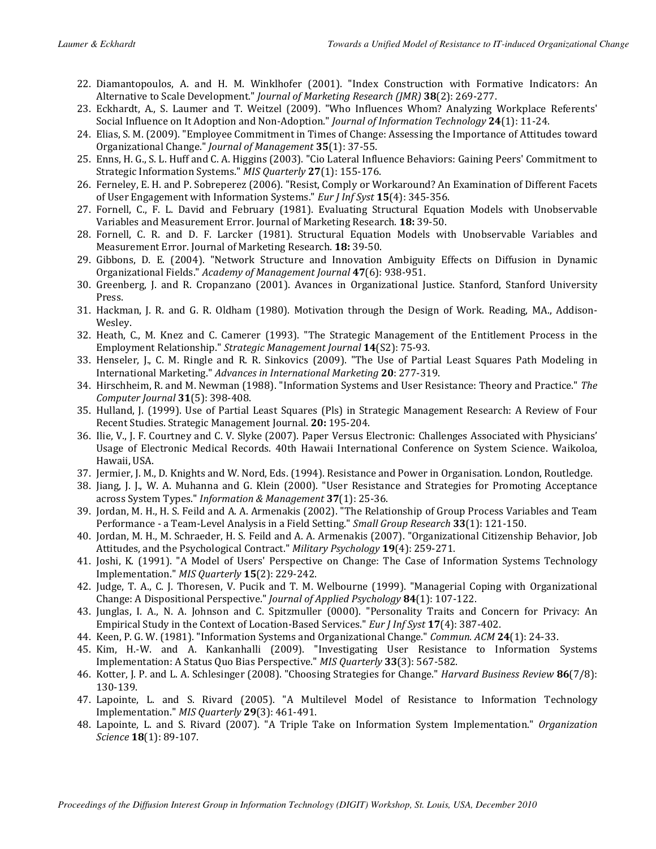- 22. Diamantopoulos, A. and H. M. Winklhofer (2001). "Index Construction with Formative Indicators: An Alternative to Scale Development." Journal of Marketing Research (JMR) 38(2): 269-277.
- 23. Eckhardt, A., S. Laumer and T. Weitzel (2009). "Who Influences Whom? Analyzing Workplace Referents' Social Influence on It Adoption and Non-Adoption." *Journal of Information Technology* 24(1): 11-24.
- 24. Elias, S. M. (2009). "Employee Commitment in Times of Change: Assessing the Importance of Attitudes toward Organizational Change." Journal of Management 35(1): 37-55.
- 25. Enns, H. G., S. L. Huff and C. A. Higgins (2003). "Cio Lateral Influence Behaviors: Gaining Peers' Commitment to Strategic Information Systems." MIS Quarterly 27(1): 155-176.
- 26. Ferneley, E. H. and P. Sobreperez (2006). "Resist, Comply or Workaround? An Examination of Different Facets of User Engagement with Information Systems." Eur *J Inf Syst* 15(4): 345-356.
- 27. Fornell, C., F. L. David and February (1981). Evaluating Structural Equation Models with Unobservable Variables and Measurement Error. Journal of Marketing Research. 18: 39-50.
- 28. Fornell, C. R. and D. F. Larcker (1981). Structural Equation Models with Unobservable Variables and Measurement Error. Journal of Marketing Research. 18: 39-50.
- 29. Gibbons, D. E. (2004). "Network Structure and Innovation Ambiguity Effects on Diffusion in Dynamic Organizational Fields." Academy of Management Journal 47(6): 938-951.
- 30. Greenberg, J. and R. Cropanzano (2001). Avances in Organizational Justice. Stanford, Stanford University Press.
- 31. Hackman, J. R. and G. R. Oldham (1980). Motivation through the Design of Work. Reading, MA., Addison-Wesley.
- 32. Heath, C., M. Knez and C. Camerer (1993). "The Strategic Management of the Entitlement Process in the Employment Relationship." Strategic Management Journal 14(S2): 75-93.
- 33. Henseler, J., C. M. Ringle and R. R. Sinkovics (2009). "The Use of Partial Least Squares Path Modeling in International Marketing." Advances in International Marketing 20: 277-319.
- 34. Hirschheim, R. and M. Newman (1988). "Information Systems and User Resistance: Theory and Practice." The Computer Journal 31(5): 398-408.
- 35. Hulland, J. (1999). Use of Partial Least Squares (Pls) in Strategic Management Research: A Review of Four Recent Studies. Strategic Management Journal. 20: 195-204.
- 36. Ilie, V., J. F. Courtney and C. V. Slyke (2007). Paper Versus Electronic: Challenges Associated with Physicians' Usage of Electronic Medical Records. 40th Hawaii International Conference on System Science. Waikoloa, Hawaii, USA.
- 37. Jermier, J. M., D. Knights and W. Nord, Eds. (1994). Resistance and Power in Organisation. London, Routledge.
- 38. Jiang, J. J., W. A. Muhanna and G. Klein (2000). "User Resistance and Strategies for Promoting Acceptance across System Types." Information & Management 37(1): 25-36.
- 39. Jordan, M. H., H. S. Feild and A. A. Armenakis (2002). "The Relationship of Group Process Variables and Team Performance - a Team-Level Analysis in a Field Setting." Small Group Research 33(1): 121-150.
- 40. Jordan, M. H., M. Schraeder, H. S. Feild and A. A. Armenakis (2007). "Organizational Citizenship Behavior, Job Attitudes, and the Psychological Contract." Military Psychology 19(4): 259-271.
- 41. Joshi, K. (1991). "A Model of Users' Perspective on Change: The Case of Information Systems Technology Implementation." MIS Quarterly 15(2): 229-242.
- 42. Judge, T. A., C. J. Thoresen, V. Pucik and T. M. Welbourne (1999). "Managerial Coping with Organizational Change: A Dispositional Perspective." Journal of Applied Psychology 84(1): 107-122.
- 43. Junglas, I. A., N. A. Johnson and C. Spitzmuller (0000). "Personality Traits and Concern for Privacy: An Empirical Study in the Context of Location-Based Services." Eur J Inf Syst 17(4): 387-402.
- 44. Keen, P. G. W. (1981). "Information Systems and Organizational Change." Commun. ACM 24(1): 24-33.
- 45. Kim, H.-W. and A. Kankanhalli (2009). "Investigating User Resistance to Information Systems Implementation: A Status Quo Bias Perspective." MIS Quarterly 33(3): 567-582.
- 46. Kotter, J. P. and L. A. Schlesinger (2008). "Choosing Strategies for Change." Harvard Business Review 86(7/8): 130-139.
- 47. Lapointe, L. and S. Rivard (2005). "A Multilevel Model of Resistance to Information Technology Implementation." MIS Quarterly 29(3): 461-491.
- 48. Lapointe, L. and S. Rivard (2007). "A Triple Take on Information System Implementation." Organization Science 18(1): 89-107.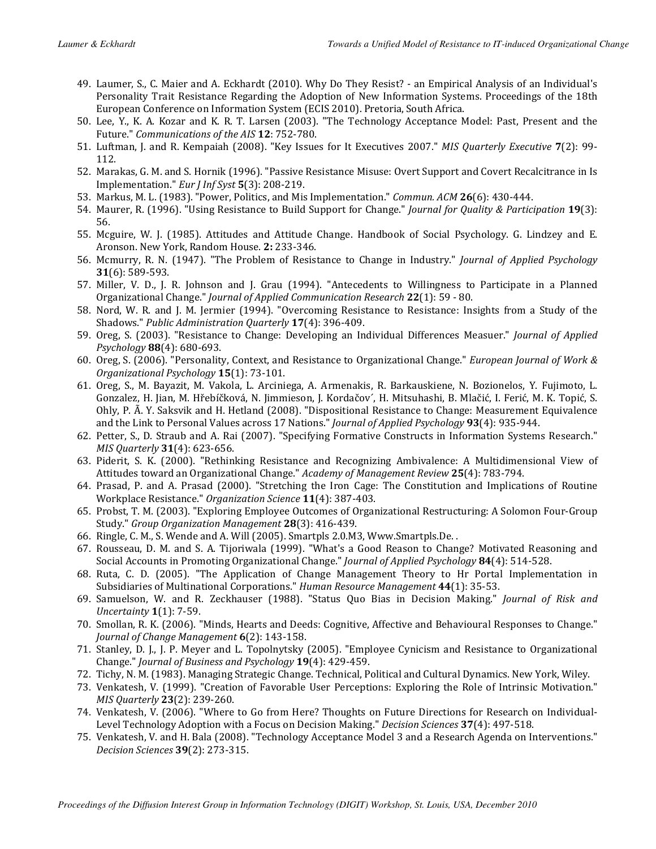- 49. Laumer, S., C. Maier and A. Eckhardt (2010). Why Do They Resist? an Empirical Analysis of an Individual's Personality Trait Resistance Regarding the Adoption of New Information Systems. Proceedings of the 18th European Conference on Information System (ECIS 2010). Pretoria, South Africa.
- 50. Lee, Y., K. A. Kozar and K. R. T. Larsen (2003). "The Technology Acceptance Model: Past, Present and the Future." Communications of the AIS 12: 752-780.
- 51. Luftman, J. and R. Kempaiah (2008). "Key Issues for It Executives 2007." MIS Quarterly Executive 7(2): 99- 112.
- 52. Marakas, G. M. and S. Hornik (1996). "Passive Resistance Misuse: Overt Support and Covert Recalcitrance in Is Implementation." Eur J Inf Syst 5(3): 208-219.
- 53. Markus, M. L. (1983). "Power, Politics, and Mis Implementation." Commun. ACM 26(6): 430-444.
- 54. Maurer, R. (1996). "Using Resistance to Build Support for Change." Journal for Quality & Participation 19(3): 56.
- 55. Mcguire, W. J. (1985). Attitudes and Attitude Change. Handbook of Social Psychology. G. Lindzey and E. Aronson. New York, Random House. 2: 233-346.
- 56. Mcmurry, R. N. (1947). "The Problem of Resistance to Change in Industry." Journal of Applied Psychology 31(6): 589-593.
- 57. Miller, V. D., J. R. Johnson and J. Grau (1994). "Antecedents to Willingness to Participate in a Planned Organizational Change." Journal of Applied Communication Research 22(1): 59 - 80.
- 58. Nord, W. R. and J. M. Jermier (1994). "Overcoming Resistance to Resistance: Insights from a Study of the Shadows." Public Administration Quarterly 17(4): 396-409.
- 59. Oreg, S. (2003). "Resistance to Change: Developing an Individual Differences Measuer." Journal of Applied Psychology 88(4): 680-693.
- 60. Oreg, S. (2006). "Personality, Context, and Resistance to Organizational Change." European Journal of Work & Organizational Psychology 15(1): 73-101.
- 61. Oreg, S., M. Bayazit, M. Vakola, L. Arciniega, A. Armenakis, R. Barkauskiene, N. Bozionelos, Y. Fujimoto, L. Gonzalez, H. Jian, M. Hřebíčková, N. Jimmieson, J. Kordačov´, H. Mitsuhashi, B. Mlačić, I. Ferić, M. K. Topić, S. Ohly, P. Ã. Y. Saksvik and H. Hetland (2008). "Dispositional Resistance to Change: Measurement Equivalence and the Link to Personal Values across 17 Nations." Journal of Applied Psychology 93(4): 935-944.
- 62. Petter, S., D. Straub and A. Rai (2007). "Specifying Formative Constructs in Information Systems Research." MIS Quarterly 31(4): 623-656.
- 63. Piderit, S. K. (2000). "Rethinking Resistance and Recognizing Ambivalence: A Multidimensional View of Attitudes toward an Organizational Change." Academy of Management Review 25(4): 783-794.
- 64. Prasad, P. and A. Prasad (2000). "Stretching the Iron Cage: The Constitution and Implications of Routine Workplace Resistance." Organization Science 11(4): 387-403.
- 65. Probst, T. M. (2003). "Exploring Employee Outcomes of Organizational Restructuring: A Solomon Four-Group Study." Group Organization Management 28(3): 416-439.
- 66. Ringle, C. M., S. Wende and A. Will (2005). Smartpls 2.0.M3, Www.Smartpls.De. .
- 67. Rousseau, D. M. and S. A. Tijoriwala (1999). "What's a Good Reason to Change? Motivated Reasoning and Social Accounts in Promoting Organizational Change." Journal of Applied Psychology 84(4): 514-528.
- 68. Ruta, C. D. (2005). "The Application of Change Management Theory to Hr Portal Implementation in Subsidiaries of Multinational Corporations." Human Resource Management 44(1): 35-53.
- 69. Samuelson, W. and R. Zeckhauser (1988). "Status Quo Bias in Decision Making." Journal of Risk and Uncertainty 1(1): 7-59.
- 70. Smollan, R. K. (2006). "Minds, Hearts and Deeds: Cognitive, Affective and Behavioural Responses to Change." Journal of Change Management 6(2): 143-158.
- 71. Stanley, D. J., J. P. Meyer and L. Topolnytsky (2005). "Employee Cynicism and Resistance to Organizational Change." Journal of Business and Psychology 19(4): 429-459.
- 72. Tichy, N. M. (1983). Managing Strategic Change. Technical, Political and Cultural Dynamics. New York, Wiley.
- 73. Venkatesh, V. (1999). "Creation of Favorable User Perceptions: Exploring the Role of Intrinsic Motivation." MIS Quarterly 23(2): 239-260.
- 74. Venkatesh, V. (2006). "Where to Go from Here? Thoughts on Future Directions for Research on Individual-Level Technology Adoption with a Focus on Decision Making." Decision Sciences 37(4): 497-518.
- 75. Venkatesh, V. and H. Bala (2008). "Technology Acceptance Model 3 and a Research Agenda on Interventions." Decision Sciences 39(2): 273-315.